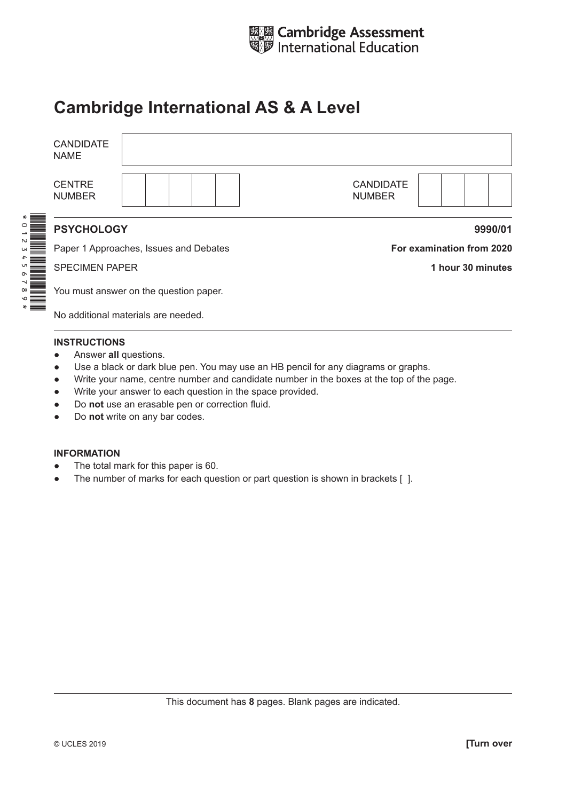

## **Cambridge International AS & A Level**

| <b>CANDIDATE</b><br><b>NAME</b>        |                                        |                                   |                           |  |  |  |
|----------------------------------------|----------------------------------------|-----------------------------------|---------------------------|--|--|--|
| <b>CENTRE</b><br><b>NUMBER</b>         |                                        | <b>CANDIDATE</b><br><b>NUMBER</b> |                           |  |  |  |
| <b>PSYCHOLOGY</b><br>9990/01           |                                        |                                   |                           |  |  |  |
| Paper 1 Approaches, Issues and Debates |                                        |                                   | For examination from 2020 |  |  |  |
| <b>SPECIMEN PAPER</b>                  |                                        |                                   | 1 hour 30 minutes         |  |  |  |
|                                        | You must answer on the question paper. |                                   |                           |  |  |  |
| No additional materials are needed.    |                                        |                                   |                           |  |  |  |
|                                        |                                        |                                   |                           |  |  |  |

## **INSTRUCTIONS**

- **•** Answer all questions.
- Use a black or dark blue pen. You may use an HB pencil for any diagrams or graphs.
- Write your name, centre number and candidate number in the boxes at the top of the page.
- Write your answer to each question in the space provided.
- Do **not** use an erasable pen or correction fluid.
- Do **not** write on any bar codes.

## **INFORMATION**

- The total mark for this paper is 60.
- The number of marks for each question or part question is shown in brackets [ ].

This document has **8** pages. Blank pages are indicated.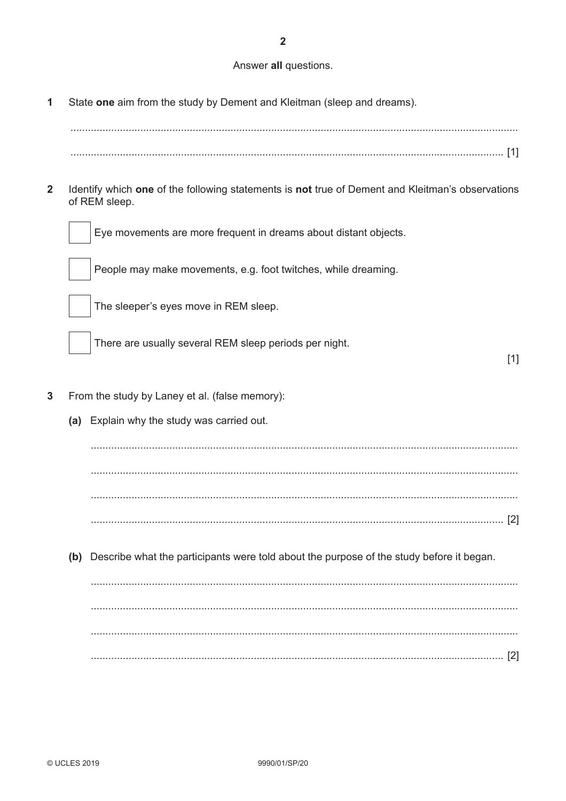$\overline{2}$ 

## Answer all questions.

State one aim from the study by Dement and Kleitman (sleep and dreams).  $\mathbf{1}$ 

 $\overline{2}$ Identify which one of the following statements is not true of Dement and Kleitman's observations of REM sleep.



Eye movements are more frequent in dreams about distant objects.

People may make movements, e.g. foot twitches, while dreaming.



The sleeper's eyes move in REM sleep.

There are usually several REM sleep periods per night.

 $[1]$ 

- $\overline{3}$ From the study by Laney et al. (false memory):
	- (a) Explain why the study was carried out.

(b) Describe what the participants were told about the purpose of the study before it began.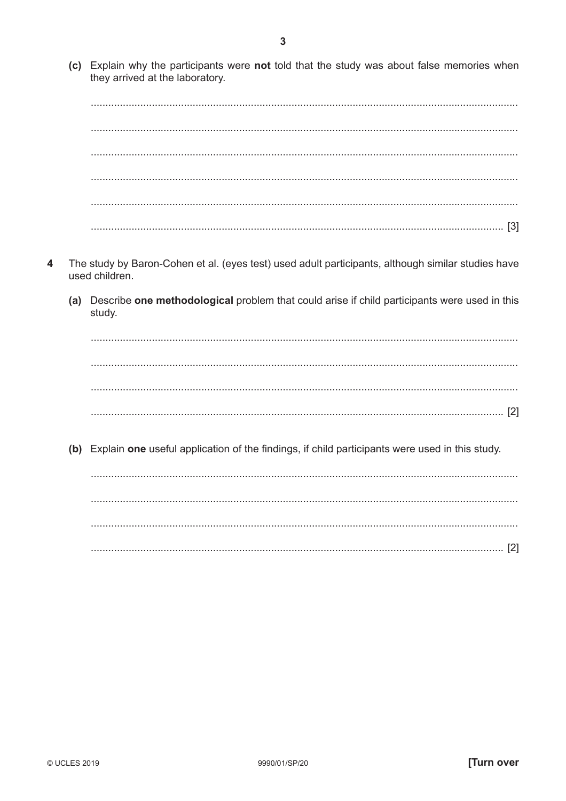(c) Explain why the participants were not told that the study was about false memories when they arrived at the laboratory.

- The study by Baron-Cohen et al. (eyes test) used adult participants, although similar studies have  $\boldsymbol{\Lambda}$ used children.
	- (a) Describe one methodological problem that could arise if child participants were used in this study.

(b) Explain one useful application of the findings, if child participants were used in this study.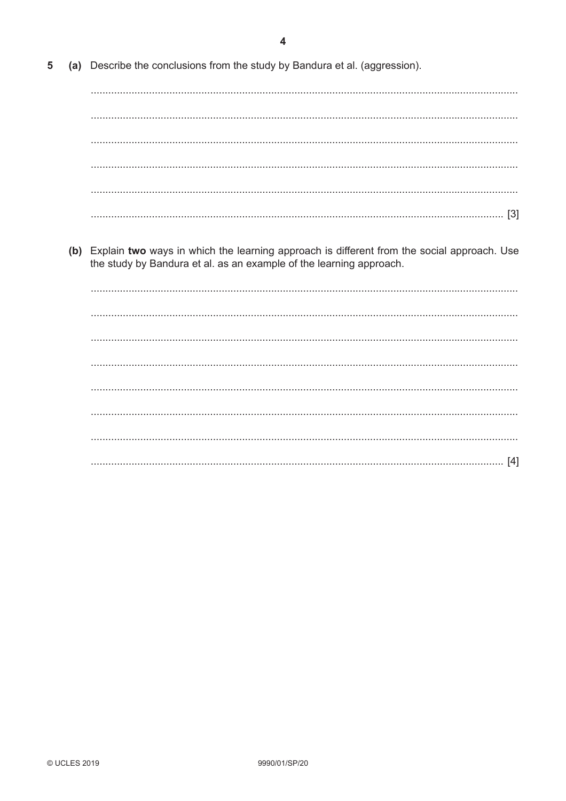(a) Describe the conclusions from the study by Bandura et al. (aggression). 5

(b) Explain two ways in which the learning approach is different from the social approach. Use the study by Bandura et al. as an example of the learning approach.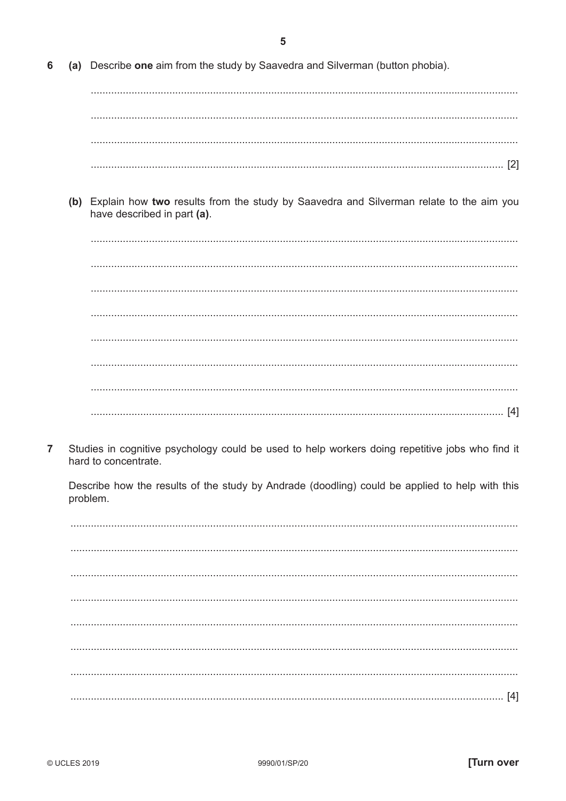(a) Describe one aim from the study by Saavedra and Silverman (button phobia). 6

(b) Explain how two results from the study by Saavedra and Silverman relate to the aim you have described in part (a).

 $\overline{7}$ Studies in cognitive psychology could be used to help workers doing repetitive jobs who find it hard to concentrate.

Describe how the results of the study by Andrade (doodling) could be applied to help with this problem.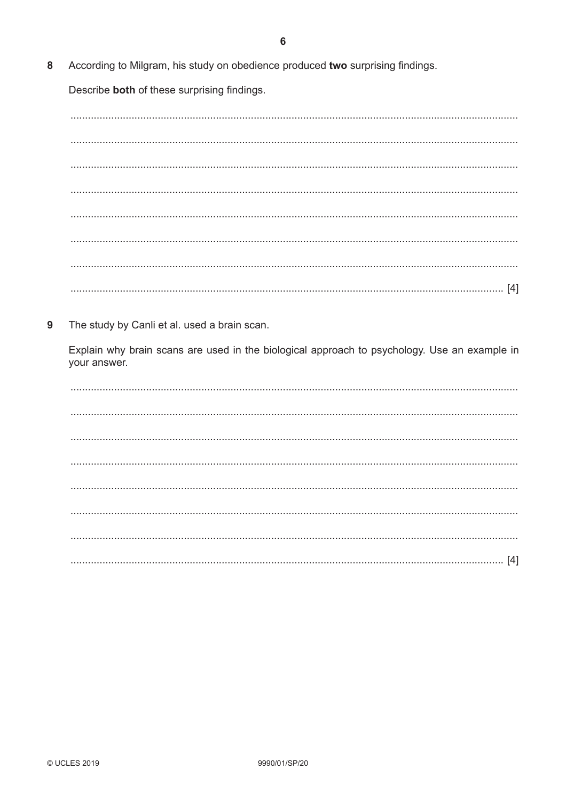8 According to Milgram, his study on obedience produced two surprising findings.

Describe both of these surprising findings.

9 The study by Canli et al. used a brain scan.

Explain why brain scans are used in the biological approach to psychology. Use an example in your answer.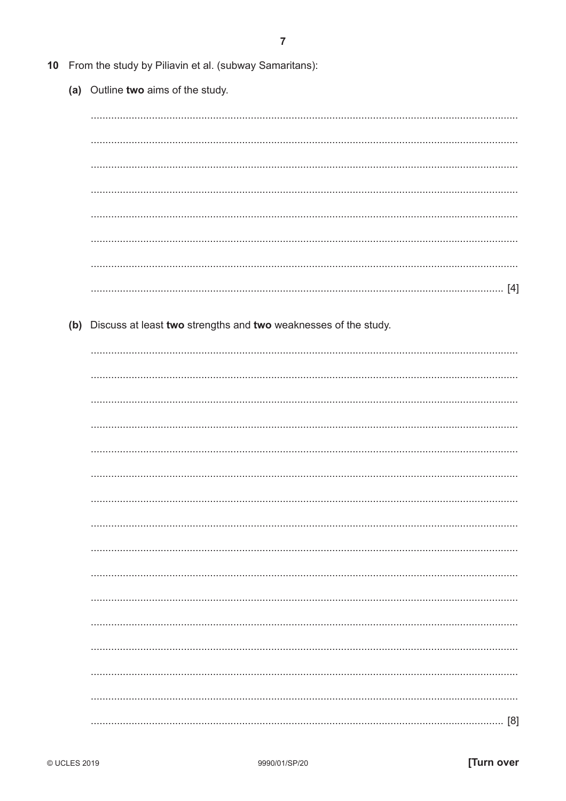|  | 10 From the study by Piliavin et al. (subway Samaritans):           |
|--|---------------------------------------------------------------------|
|  | (a) Outline two aims of the study.                                  |
|  |                                                                     |
|  |                                                                     |
|  |                                                                     |
|  |                                                                     |
|  |                                                                     |
|  |                                                                     |
|  |                                                                     |
|  |                                                                     |
|  |                                                                     |
|  |                                                                     |
|  | (b) Discuss at least two strengths and two weaknesses of the study. |
|  |                                                                     |
|  |                                                                     |
|  |                                                                     |
|  |                                                                     |
|  |                                                                     |
|  |                                                                     |
|  |                                                                     |
|  |                                                                     |
|  |                                                                     |
|  |                                                                     |
|  |                                                                     |
|  |                                                                     |
|  |                                                                     |
|  |                                                                     |
|  |                                                                     |
|  |                                                                     |
|  |                                                                     |
|  | [8]                                                                 |
|  | .                                                                   |